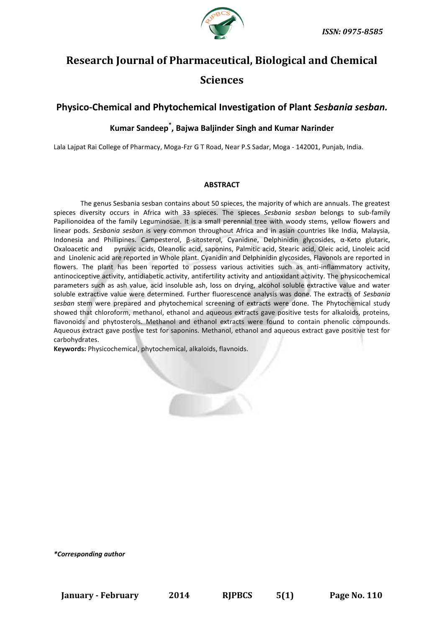

# **Research Journal of Pharmaceutical, Biological and Chemical Sciences**

# **Physico-Chemical and Phytochemical Investigation of Plant** *Sesbania sesban.*

# **Kumar Sandeep\* , Bajwa Baljinder Singh and Kumar Narinder**

Lala Lajpat Rai College of Pharmacy, Moga-Fzr G T Road, Near P.S Sadar, Moga - 142001, Punjab, India.

#### **ABSTRACT**

The genus Sesbania sesban contains about 50 spieces, the majority of which are annuals. The greatest spieces diversity occurs in Africa with 33 spieces. The spieces *Sesbania sesban* belongs to sub-family Papilionoidea of the family Leguminosae. It is a small perennial tree with woody stems, yellow flowers and linear pods. *Sesbania sesban* is very common throughout Africa and in asian countries like India, Malaysia, Indonesia and Phillipines. Campesterol, β-sitosterol, Cyanidine, Delphinidin glycosides, α-Keto glutaric, Oxaloacetic and pyruvic acids, Oleanolic acid, saponins, Palmitic acid, Stearic acid, Oleic acid, Linoleic acid and Linolenic acid are reported in Whole plant. Cyanidin and Delphinidin glycosides, Flavonols are reported in flowers. The plant has been reported to possess various activities such as anti-inflammatory activity, antinociceptive activity, antidiabetic activity, antifertility activity and antioxidant activity. The physicochemical parameters such as ash value, acid insoluble ash, loss on drying, alcohol soluble extractive value and water soluble extractive value were determined. Further fluorescence analysis was done. The extracts of *Sesbania sesban* stem were prepared and phytochemical screening of extracts were done. The Phytochemical study showed that chloroform, methanol, ethanol and aqueous extracts gave positive tests for alkaloids, proteins, flavonoids and phytosterols. Methanol and ethanol extracts were found to contain phenolic compounds. Aqueous extract gave postive test for saponins. Methanol, ethanol and aqueous extract gave positive test for carbohydrates.

**Keywords:** Physicochemical, phytochemical, alkaloids, flavnoids.

*\*Corresponding author*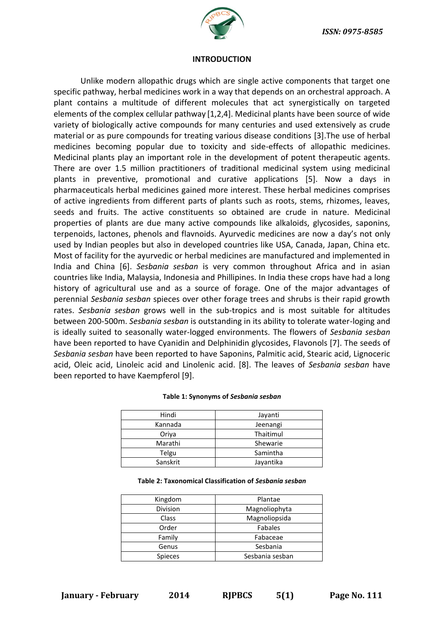

#### **INTRODUCTION**

Unlike modern allopathic drugs which are single active components that target one specific pathway, herbal medicines work in a way that depends on an orchestral approach. A plant contains a multitude of different molecules that act synergistically on targeted elements of the complex cellular pathway [1,2,4]. Medicinal plants have been source of wide variety of biologically active compounds for many centuries and used extensively as crude material or as pure compounds for treating various disease conditions [3].The use of herbal medicines becoming popular due to toxicity and side-effects of allopathic medicines. Medicinal plants play an important role in the development of potent therapeutic agents. There are over 1.5 million practitioners of traditional medicinal system using medicinal plants in preventive, promotional and curative applications [5]. Now a days in pharmaceuticals herbal medicines gained more interest. These herbal medicines comprises of active ingredients from different parts of plants such as roots, stems, rhizomes, leaves, seeds and fruits. The active constituents so obtained are crude in nature. Medicinal properties of plants are due many active compounds like alkaloids, glycosides, saponins, terpenoids, lactones, phenols and flavnoids. Ayurvedic medicines are now a day's not only used by Indian peoples but also in developed countries like USA, Canada, Japan, China etc. Most of facility for the ayurvedic or herbal medicines are manufactured and implemented in India and China [6]. *Sesbania sesban* is very common throughout Africa and in asian countries like India, Malaysia, Indonesia and Phillipines. In India these crops have had a long history of agricultural use and as a source of forage. One of the major advantages of perennial *Sesbania sesban* spieces over other forage trees and shrubs is their rapid growth rates. *Sesbania sesban* grows well in the sub-tropics and is most suitable for altitudes between 200-500m. *Sesbania sesban* is outstanding in its ability to tolerate water-loging and is ideally suited to seasonally water-logged environments. The flowers of *Sesbania sesban* have been reported to have Cyanidin and Delphinidin glycosides, Flavonols [7]. The seeds of *Sesbania sesban* have been reported to have Saponins, Palmitic acid, Stearic acid, Lignoceric acid, Oleic acid, Linoleic acid and Linolenic acid. [8]. The leaves of *Sesbania sesban* have been reported to have Kaempferol [9].

| Hindi    | Jayanti   |  |  |
|----------|-----------|--|--|
| Kannada  | Jeenangi  |  |  |
| Oriya    | Thaitimul |  |  |
| Marathi  | Shewarie  |  |  |
| Telgu    | Samintha  |  |  |
| Sanskrit | Javantika |  |  |

#### **Table 1: Synonyms of** *Sesbania sesban*

#### **Table 2: Taxonomical Classification of** *Sesbania sesban*

| Kingdom         | Plantae         |  |  |
|-----------------|-----------------|--|--|
| <b>Division</b> | Magnoliophyta   |  |  |
| Class           | Magnoliopsida   |  |  |
| Order           | <b>Fabales</b>  |  |  |
| Family          | Fabaceae        |  |  |
| Genus           | Sesbania        |  |  |
| <b>Spieces</b>  | Sesbania sesban |  |  |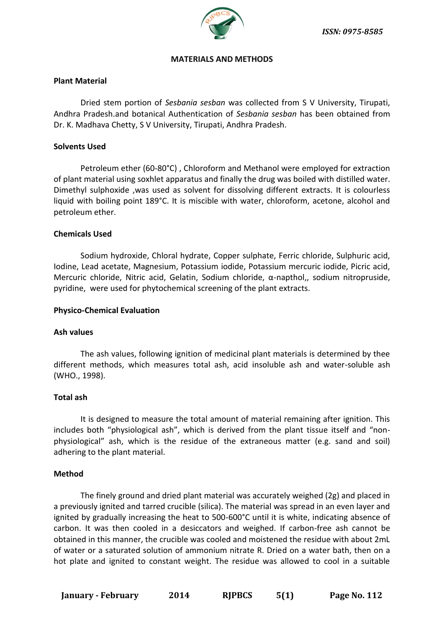

#### **MATERIALS AND METHODS**

# **Plant Material**

Dried stem portion of *Sesbania sesban* was collected from S V University, Tirupati, Andhra Pradesh.and botanical Authentication of *Sesbania sesban* has been obtained from Dr. K. Madhava Chetty, S V University, Tirupati, Andhra Pradesh.

## **Solvents Used**

Petroleum ether (60-80°C) , Chloroform and Methanol were employed for extraction of plant material using soxhlet apparatus and finally the drug was boiled with distilled water. Dimethyl sulphoxide ,was used as solvent for dissolving different extracts. It is colourless liquid with boiling point 189°C. It is miscible with water, chloroform, acetone, alcohol and petroleum ether.

## **Chemicals Used**

Sodium hydroxide, Chloral hydrate, Copper sulphate, Ferric chloride, Sulphuric acid, Iodine, Lead acetate, Magnesium, Potassium iodide, Potassium mercuric iodide, Picric acid, Mercuric chloride, Nitric acid, Gelatin, Sodium chloride, α-napthol,, sodium nitropruside, pyridine, were used for phytochemical screening of the plant extracts.

#### **Physico-Chemical Evaluation**

#### **Ash values**

The ash values, following ignition of medicinal plant materials is determined by thee different methods, which measures total ash, acid insoluble ash and water-soluble ash (WHO., 1998).

## **Total ash**

It is designed to measure the total amount of material remaining after ignition. This includes both "physiological ash", which is derived from the plant tissue itself and "nonphysiological" ash, which is the residue of the extraneous matter (e.g. sand and soil) adhering to the plant material.

#### **Method**

The finely ground and dried plant material was accurately weighed (2g) and placed in a previously ignited and tarred crucible (silica). The material was spread in an even layer and ignited by gradually increasing the heat to 500-600°C until it is white, indicating absence of carbon. It was then cooled in a desiccators and weighed. If carbon-free ash cannot be obtained in this manner, the crucible was cooled and moistened the residue with about 2mL of water or a saturated solution of ammonium nitrate R. Dried on a water bath, then on a hot plate and ignited to constant weight. The residue was allowed to cool in a suitable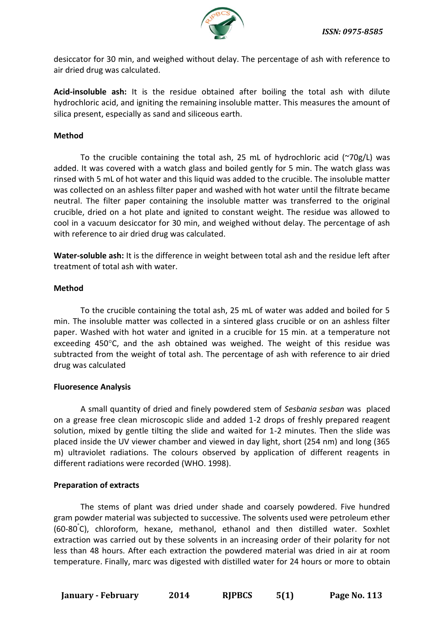

desiccator for 30 min, and weighed without delay. The percentage of ash with reference to air dried drug was calculated.

**Acid-insoluble ash:** It is the residue obtained after boiling the total ash with dilute hydrochloric acid, and igniting the remaining insoluble matter. This measures the amount of silica present, especially as sand and siliceous earth.

# **Method**

To the crucible containing the total ash, 25 mL of hydrochloric acid (~70g/L) was added. It was covered with a watch glass and boiled gently for 5 min. The watch glass was rinsed with 5 mL of hot water and this liquid was added to the crucible. The insoluble matter was collected on an ashless filter paper and washed with hot water until the filtrate became neutral. The filter paper containing the insoluble matter was transferred to the original crucible, dried on a hot plate and ignited to constant weight. The residue was allowed to cool in a vacuum desiccator for 30 min, and weighed without delay. The percentage of ash with reference to air dried drug was calculated.

**Water-soluble ash:** It is the difference in weight between total ash and the residue left after treatment of total ash with water.

# **Method**

To the crucible containing the total ash, 25 mL of water was added and boiled for 5 min. The insoluble matter was collected in a sintered glass crucible or on an ashless filter paper. Washed with hot water and ignited in a crucible for 15 min. at a temperature not exceeding 450°C, and the ash obtained was weighed. The weight of this residue was subtracted from the weight of total ash. The percentage of ash with reference to air dried drug was calculated

## **Fluoresence Analysis**

A small quantity of dried and finely powdered stem of *Sesbania sesban* was placed on a grease free clean microscopic slide and added 1-2 drops of freshly prepared reagent solution, mixed by gentle tilting the slide and waited for 1-2 minutes. Then the slide was placed inside the UV viewer chamber and viewed in day light, short (254 nm) and long (365 m) ultraviolet radiations. The colours observed by application of different reagents in different radiations were recorded (WHO. 1998).

# **Preparation of extracts**

The stems of plant was dried under shade and coarsely powdered. Five hundred gram powder material was subjected to successive. The solvents used were petroleum ether (60-80° C), chloroform, hexane, methanol, ethanol and then distilled water. Soxhlet extraction was carried out by these solvents in an increasing order of their polarity for not less than 48 hours. After each extraction the powdered material was dried in air at room temperature. Finally, marc was digested with distilled water for 24 hours or more to obtain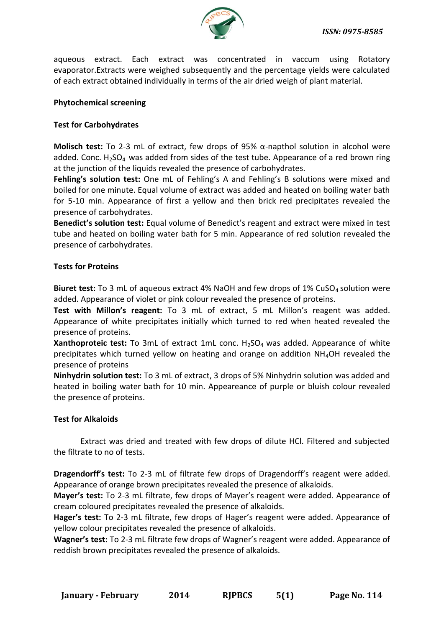

aqueous extract. Each extract was concentrated in vaccum using Rotatory evaporator.Extracts were weighed subsequently and the percentage yields were calculated of each extract obtained individually in terms of the air dried weigh of plant material.

# **Phytochemical screening**

# **Test for Carbohydrates**

**Molisch test:** To 2-3 mL of extract, few drops of 95% α-napthol solution in alcohol were added. Conc.  $H_2SO_4$  was added from sides of the test tube. Appearance of a red brown ring at the junction of the liquids revealed the presence of carbohydrates.

**Fehling's solution test:** One mL of Fehling's A and Fehling's B solutions were mixed and boiled for one minute. Equal volume of extract was added and heated on boiling water bath for 5-10 min. Appearance of first a yellow and then brick red precipitates revealed the presence of carbohydrates.

**Benedict's solution test:** Equal volume of Benedict's reagent and extract were mixed in test tube and heated on boiling water bath for 5 min. Appearance of red solution revealed the presence of carbohydrates.

## **Tests for Proteins**

**Biuret test:** To 3 mL of aqueous extract 4% NaOH and few drops of 1% CuSO<sub>4</sub> solution were added. Appearance of violet or pink colour revealed the presence of proteins.

**Test with Millon's reagent:** To 3 mL of extract, 5 mL Millon's reagent was added. Appearance of white precipitates initially which turned to red when heated revealed the presence of proteins.

**Xanthoproteic test:** To 3mL of extract 1mL conc. H<sub>2</sub>SO<sub>4</sub> was added. Appearance of white precipitates which turned yellow on heating and orange on addition NH4OH revealed the presence of proteins

**Ninhydrin solution test:** To 3 mL of extract, 3 drops of 5% Ninhydrin solution was added and heated in boiling water bath for 10 min. Appeareance of purple or bluish colour revealed the presence of proteins.

## **Test for Alkaloids**

Extract was dried and treated with few drops of dilute HCl. Filtered and subjected the filtrate to no of tests.

**Dragendorff's test:** To 2-3 mL of filtrate few drops of Dragendorff's reagent were added. Appearance of orange brown precipitates revealed the presence of alkaloids.

**Mayer's test:** To 2-3 mL filtrate, few drops of Mayer's reagent were added. Appearance of cream coloured precipitates revealed the presence of alkaloids.

**Hager's test:** To 2-3 mL filtrate, few drops of Hager's reagent were added. Appearance of yellow colour precipitates revealed the presence of alkaloids.

**Wagner's test:** To 2-3 mL filtrate few drops of Wagner's reagent were added. Appearance of reddish brown precipitates revealed the presence of alkaloids.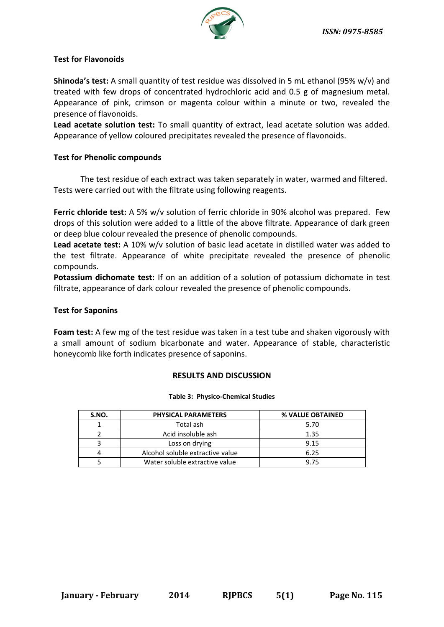

# **Test for Flavonoids**

**Shinoda's test:** A small quantity of test residue was dissolved in 5 mL ethanol (95% w/v) and treated with few drops of concentrated hydrochloric acid and 0.5 g of magnesium metal. Appearance of pink, crimson or magenta colour within a minute or two, revealed the presence of flavonoids.

**Lead acetate solution test:** To small quantity of extract, lead acetate solution was added. Appearance of yellow coloured precipitates revealed the presence of flavonoids.

# **Test for Phenolic compounds**

The test residue of each extract was taken separately in water, warmed and filtered. Tests were carried out with the filtrate using following reagents.

**Ferric chloride test:** A 5% w/v solution of ferric chloride in 90% alcohol was prepared. Few drops of this solution were added to a little of the above filtrate. Appearance of dark green or deep blue colour revealed the presence of phenolic compounds.

**Lead acetate test:** A 10% w/v solution of basic lead acetate in distilled water was added to the test filtrate. Appearance of white precipitate revealed the presence of phenolic compounds.

**Potassium dichomate test:** If on an addition of a solution of potassium dichomate in test filtrate, appearance of dark colour revealed the presence of phenolic compounds.

# **Test for Saponins**

**Foam test:** A few mg of the test residue was taken in a test tube and shaken vigorously with a small amount of sodium bicarbonate and water. Appearance of stable, characteristic honeycomb like forth indicates presence of saponins.

## **RESULTS AND DISCUSSION**

#### **Table 3: Physico-Chemical Studies**

| S.NO. | <b>PHYSICAL PARAMETERS</b>       | % VALUE OBTAINED |  |
|-------|----------------------------------|------------------|--|
|       | Total ash                        | 5.70             |  |
|       | Acid insoluble ash               | 1.35             |  |
|       | Loss on drying                   | 9.15             |  |
|       | Alcohol soluble extractive value | 6.25             |  |
|       | Water soluble extractive value   | 975              |  |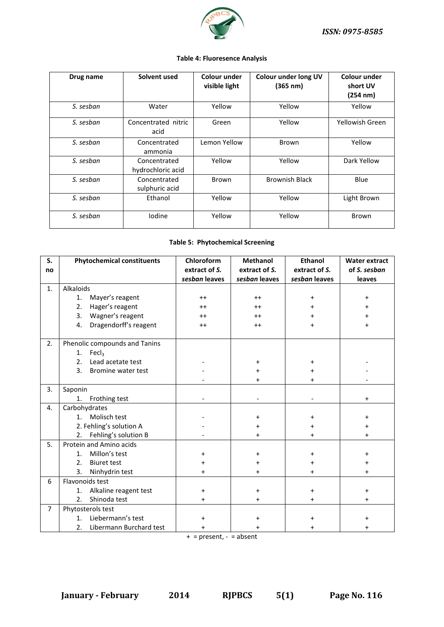

#### **Table 4: Fluoresence Analysis**

| Drug name | Solvent used                      | Colour under<br>visible light | Colour under long UV<br>(365 nm) | Colour under<br>short UV<br>(254 nm) |
|-----------|-----------------------------------|-------------------------------|----------------------------------|--------------------------------------|
| S. sesban | Water                             | Yellow                        | Yellow                           | Yellow                               |
| S. sesban | Concentrated nitric<br>acid       | Green                         | Yellow                           | Yellowish Green                      |
| S. sesban | Concentrated<br>ammonia           | Lemon Yellow                  | Brown                            | Yellow                               |
| S. sesban | Concentrated<br>hydrochloric acid | Yellow                        | Yellow                           | Dark Yellow                          |
| S. sesban | Concentrated<br>sulphuric acid    | Brown                         | <b>Brownish Black</b>            | Blue                                 |
| S. sesban | Ethanol                           | Yellow                        | Yellow                           | Light Brown                          |
| S. sesban | Iodine                            | Yellow                        | Yellow                           | Brown                                |

#### **Table 5: Phytochemical Screening**

| S.             | <b>Phytochemical constituents</b> | Chloroform    | <b>Methanol</b> | <b>Ethanol</b> | <b>Water extract</b> |
|----------------|-----------------------------------|---------------|-----------------|----------------|----------------------|
| no             |                                   | extract of S. | extract of S.   | extract of S.  | of S. sesban         |
|                |                                   | sesban leaves | sesban leaves   | sesban leaves  | leaves               |
| 1.             | Alkaloids                         |               |                 |                |                      |
|                | Mayer's reagent<br>1.             | $++$          | $++$            | $\ddot{}$      | $\ddot{}$            |
|                | Hager's reagent<br>2.             | $++$          | $++$            | $\ddot{}$      | +                    |
|                | Wagner's reagent<br>3.            | $++$          | $^{++}$         | $\ddot{}$      |                      |
|                | Dragendorff's reagent<br>4.       | $++$          | $++$            | $\ddot{}$      | +                    |
|                |                                   |               |                 |                |                      |
| 2.             | Phenolic compounds and Tanins     |               |                 |                |                      |
|                | Fecl <sub>3</sub><br>1.           |               |                 |                |                      |
|                | Lead acetate test<br>2.           |               | $\ddot{}$       | $\ddot{}$      |                      |
|                | 3.<br>Bromine water test          |               | $\ddot{}$       | $\ddot{}$      |                      |
|                |                                   |               | $\ddot{}$       | $\ddot{}$      |                      |
| 3.             | Saponin                           |               |                 |                |                      |
|                | 1.<br>Frothing test               |               |                 |                | $\ddot{}$            |
| 4.             | Carbohydrates                     |               |                 |                |                      |
|                | Molisch test<br>1 <sup>1</sup>    |               | $\ddot{}$       | $\ddot{}$      | $\ddot{}$            |
|                | 2. Fehling's solution A           |               | $\ddot{}$       | $\ddot{}$      | $\ddot{}$            |
|                | Fehling's solution B<br>2.        |               | $\ddot{}$       | $\ddot{}$      | $\ddot{}$            |
| 5.             | Protein and Amino acids           |               |                 |                |                      |
|                | Millon's test<br>1 <sub>1</sub>   | +             | $\ddot{}$       | $\ddot{}$      | +                    |
|                | 2.<br><b>Biuret test</b>          | $\pmb{+}$     | $\ddot{}$       | $\ddot{}$      | $\ddot{}$            |
|                | Ninhydrin test<br>3.              | $\ddot{}$     | $\ddot{}$       | $\ddot{}$      | $\ddot{}$            |
| 6              | Flavonoids test                   |               |                 |                |                      |
|                | Alkaline reagent test<br>1.       | $\pmb{+}$     | $\ddot{}$       | $\ddot{}$      | $\ddot{}$            |
|                | 2.<br>Shinoda test                | $\ddot{}$     | $\ddot{}$       | $\ddot{}$      | $\ddot{}$            |
| $\overline{7}$ | Phytosterols test                 |               |                 |                |                      |
|                | Liebermann's test<br>1.           | $\ddot{}$     | $\ddot{}$       | $\ddot{}$      | $\ddot{}$            |
|                | Libermann Burchard test<br>2.     | $\ddot{}$     | $\ddot{}$       | $\ddot{}$      | $\ddot{}$            |

 $+$  = present, - = absent